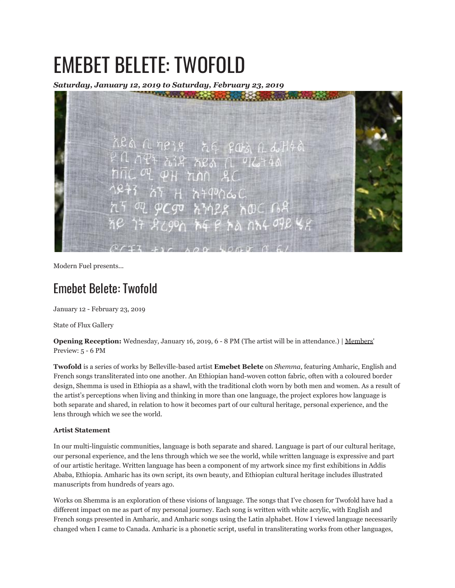# EMEBET BELETE: TWOFOLD

*Saturday, January 12, 2019 to Saturday, February 23, 2019*



Modern Fuel presents...

## Emebet Belete: Twofold

January 12 - February 23, 2019

State of Flux Gallery

**Opening Reception:** Wednesday, January 16, 2019, 6 - 8 PM (The artist will be in attendance.) | Members' Preview: 5 - 6 PM

**Twofold** is a series of works by Belleville-based artist **Emebet Belete** on *Shemma*, featuring Amharic, English and French songs transliterated into one another. An Ethiopian hand-woven cotton fabric, often with a coloured border design, Shemma is used in Ethiopia as a shawl, with the traditional cloth worn by both men and women. As a result of the artist's perceptions when living and thinking in more than one language, the project explores how language is both separate and shared, in relation to how it becomes part of our cultural heritage, personal experience, and the lens through which we see the world.

### **Artist Statement**

In our multi-linguistic communities, language is both separate and shared. Language is part of our cultural heritage, our personal experience, and the lens through which we see the world, while written language is expressive and part of our artistic heritage. Written language has been a component of my artwork since my first exhibitions in Addis Ababa, Ethiopia. Amharic has its own script, its own beauty, and Ethiopian cultural heritage includes illustrated manuscripts from hundreds of years ago.

Works on Shemma is an exploration of these visions of language. The songs that I've chosen for Twofold have had a different impact on me as part of my personal journey. Each song is written with white acrylic, with English and French songs presented in Amharic, and Amharic songs using the Latin alphabet. How I viewed language necessarily changed when I came to Canada. Amharic is a phonetic script, useful in transliterating works from other languages,